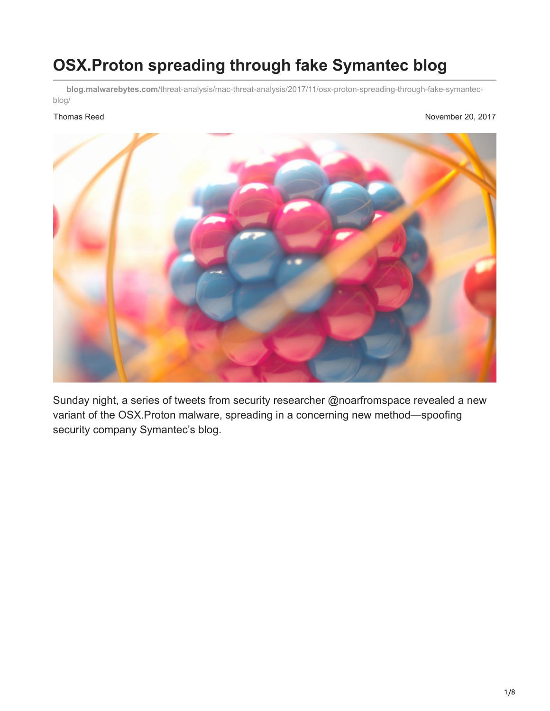# **OSX.Proton spreading through fake Symantec blog**

**blog.malwarebytes.com**[/threat-analysis/mac-threat-analysis/2017/11/osx-proton-spreading-through-fake-symantec](https://blog.malwarebytes.com/threat-analysis/mac-threat-analysis/2017/11/osx-proton-spreading-through-fake-symantec-blog/)blog/

Thomas Reed November 20, 2017



Sunday night, a series of tweets from security researcher [@noarfromspace](https://twitter.com/noarfromspace) revealed a new variant of the OSX.Proton malware, spreading in a concerning new method—spoofing security company Symantec's blog.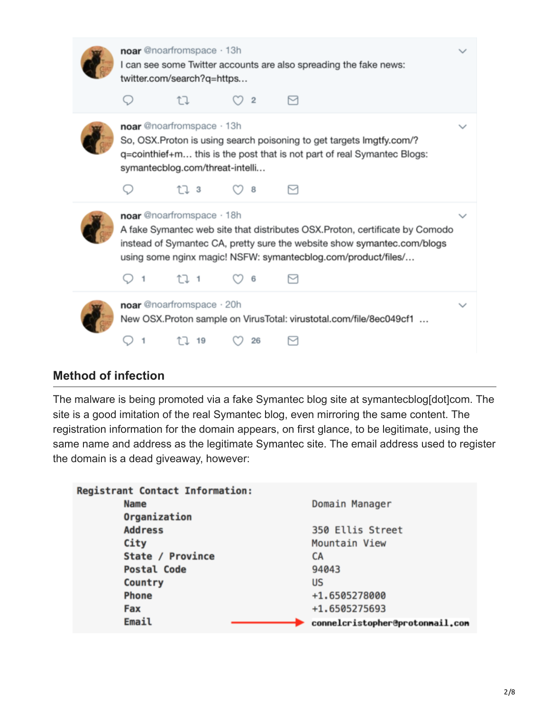

#### **Method of infection**

The malware is being promoted via a fake Symantec blog site at symantecblog[dot]com. The site is a good imitation of the real Symantec blog, even mirroring the same content. The registration information for the domain appears, on first glance, to be legitimate, using the same name and address as the legitimate Symantec site. The email address used to register the domain is a dead giveaway, however:

| Registrant Contact Information: |                                 |
|---------------------------------|---------------------------------|
| <b>Name</b>                     | Domain Manager                  |
| Organization                    |                                 |
| <b>Address</b>                  | 350 Ellis Street                |
| City                            | Mountain View                   |
| State / Province                | CА                              |
| <b>Postal Code</b>              | 94043                           |
| Country                         | US                              |
| <b>Phone</b>                    | +1.6505278000                   |
| Fax                             | +1.6505275693                   |
| Email                           | connelcristopher@protonnail.con |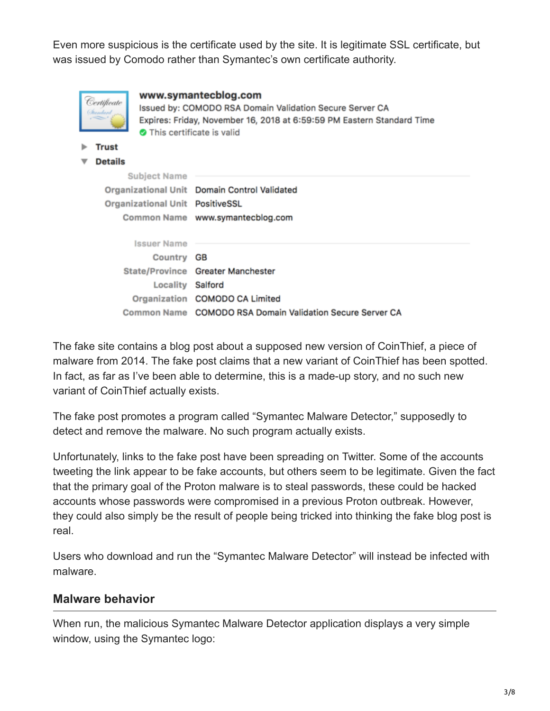Even more suspicious is the certificate used by the site. It is legitimate SSL certificate, but was issued by Comodo rather than Symantec's own certificate authority.



#### www.symantecblog.com

Issued by: COMODO RSA Domain Validation Secure Server CA Expires: Friday, November 16, 2018 at 6:59:59 PM Eastern Standard Time This certificate is valid

**Trust Details** 

> **Subject Name** Organizational Unit Domain Control Validated Organizational Unit PositiveSSL Common Name www.symantecblog.com

| <b>Issuer Name</b> |                                                           |
|--------------------|-----------------------------------------------------------|
|                    |                                                           |
| <b>Country GB</b>  |                                                           |
|                    | State/Province Greater Manchester                         |
| Locality Salford   |                                                           |
|                    | Organization COMODO CA Limited                            |
|                    | Common Name COMODO RSA Domain Validation Secure Server CA |

The fake site contains a blog post about a supposed new version of CoinThief, a piece of malware from 2014. The fake post claims that a new variant of CoinThief has been spotted. In fact, as far as I've been able to determine, this is a made-up story, and no such new variant of CoinThief actually exists.

The fake post promotes a program called "Symantec Malware Detector," supposedly to detect and remove the malware. No such program actually exists.

Unfortunately, links to the fake post have been spreading on Twitter. Some of the accounts tweeting the link appear to be fake accounts, but others seem to be legitimate. Given the fact that the primary goal of the Proton malware is to steal passwords, these could be hacked accounts whose passwords were compromised in a previous Proton outbreak. However, they could also simply be the result of people being tricked into thinking the fake blog post is real.

Users who download and run the "Symantec Malware Detector" will instead be infected with malware.

### **Malware behavior**

When run, the malicious Symantec Malware Detector application displays a very simple window, using the Symantec logo: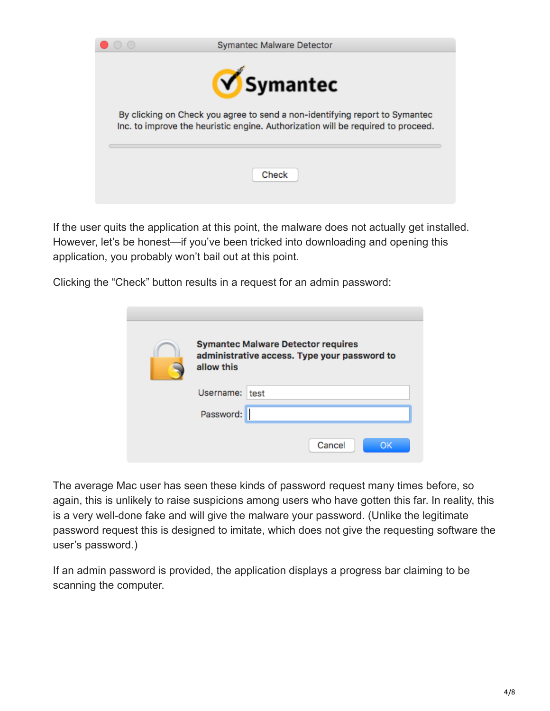

If the user quits the application at this point, the malware does not actually get installed. However, let's be honest—if you've been tricked into downloading and opening this application, you probably won't bail out at this point.

Clicking the "Check" button results in a request for an admin password:

| <b>Symantec Malware Detector requires</b><br>allow this | administrative access. Type your password to |
|---------------------------------------------------------|----------------------------------------------|
| Username:<br>∣ test                                     |                                              |
| Password:                                               |                                              |
|                                                         | Cancel<br>OK                                 |

The average Mac user has seen these kinds of password request many times before, so again, this is unlikely to raise suspicions among users who have gotten this far. In reality, this is a very well-done fake and will give the malware your password. (Unlike the legitimate password request this is designed to imitate, which does not give the requesting software the user's password.)

If an admin password is provided, the application displays a progress bar claiming to be scanning the computer.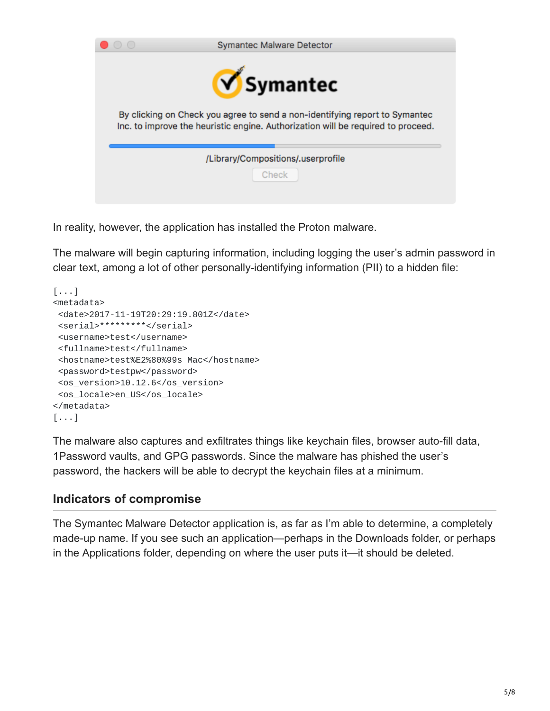

In reality, however, the application has installed the Proton malware.

The malware will begin capturing information, including logging the user's admin password in clear text, among a lot of other personally-identifying information (PII) to a hidden file:

```
[...]
<metadata>
<date>2017-11-19T20:29:19.801Z</date>
<serial>*********</serial>
<username>test</username>
<fullname>test</fullname>
<hostname>test%E2%80%99s Mac</hostname>
<password>testpw</password>
<os_version>10.12.6</os_version>
<os_locale>en_US</os_locale>
</metadata>
[...]
```
The malware also captures and exfiltrates things like keychain files, browser auto-fill data, 1Password vaults, and GPG passwords. Since the malware has phished the user's password, the hackers will be able to decrypt the keychain files at a minimum.

### **Indicators of compromise**

The Symantec Malware Detector application is, as far as I'm able to determine, a completely made-up name. If you see such an application—perhaps in the Downloads folder, or perhaps in the Applications folder, depending on where the user puts it—it should be deleted.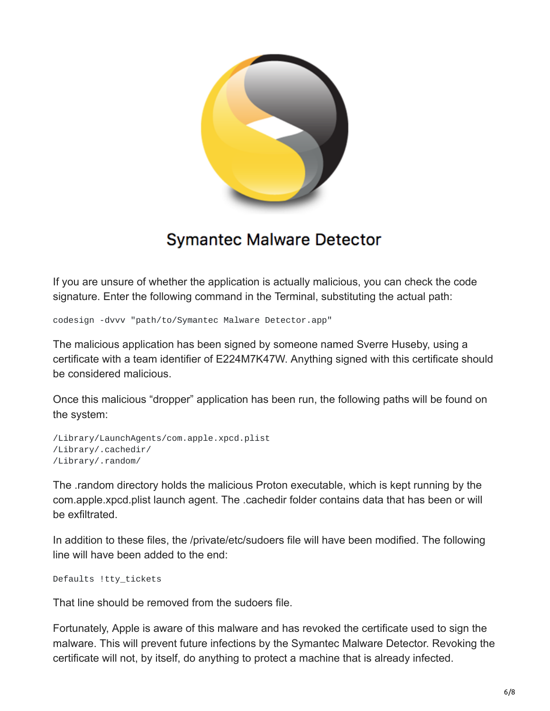

# **Symantec Malware Detector**

If you are unsure of whether the application is actually malicious, you can check the code signature. Enter the following command in the Terminal, substituting the actual path:

codesign -dvvv "path/to/Symantec Malware Detector.app"

The malicious application has been signed by someone named Sverre Huseby, using a certificate with a team identifier of E224M7K47W. Anything signed with this certificate should be considered malicious.

Once this malicious "dropper" application has been run, the following paths will be found on the system:

```
/Library/LaunchAgents/com.apple.xpcd.plist
/Library/.cachedir/
/Library/.random/
```
The .random directory holds the malicious Proton executable, which is kept running by the com.apple.xpcd.plist launch agent. The .cachedir folder contains data that has been or will be exfiltrated.

In addition to these files, the /private/etc/sudoers file will have been modified. The following line will have been added to the end:

Defaults !tty\_tickets

That line should be removed from the sudoers file.

Fortunately, Apple is aware of this malware and has revoked the certificate used to sign the malware. This will prevent future infections by the Symantec Malware Detector. Revoking the certificate will not, by itself, do anything to protect a machine that is already infected.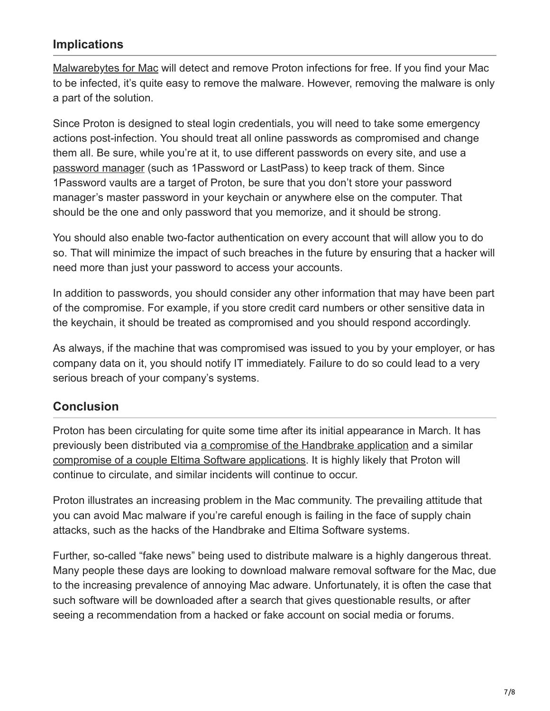## **Implications**

[Malwarebytes for Mac](https://malwarebytes.com/mac) will detect and remove Proton infections for free. If you find your Mac to be infected, it's quite easy to remove the malware. However, removing the malware is only a part of the solution.

Since Proton is designed to steal login credentials, you will need to take some emergency actions post-infection. You should treat all online passwords as compromised and change them all. Be sure, while you're at it, to use different passwords on every site, and use a [password manager](https://blog.malwarebytes.com/glossary/password-manager/) (such as 1Password or LastPass) to keep track of them. Since 1Password vaults are a target of Proton, be sure that you don't store your password manager's master password in your keychain or anywhere else on the computer. That should be the one and only password that you memorize, and it should be strong.

You should also enable two-factor authentication on every account that will allow you to do so. That will minimize the impact of such breaches in the future by ensuring that a hacker will need more than just your password to access your accounts.

In addition to passwords, you should consider any other information that may have been part of the compromise. For example, if you store credit card numbers or other sensitive data in the keychain, it should be treated as compromised and you should respond accordingly.

As always, if the machine that was compromised was issued to you by your employer, or has company data on it, you should notify IT immediately. Failure to do so could lead to a very serious breach of your company's systems.

### **Conclusion**

Proton has been circulating for quite some time after its initial appearance in March. It has previously been distributed via [a compromise of the Handbrake application](https://blog.malwarebytes.com/threat-analysis/mac-threat-analysis/2017/05/handbrake-hacked-to-drop-new-variant-of-proton-malware/) and a similar [compromise of a couple Eltima Software applications](https://blog.malwarebytes.com/cybercrime/2017/10/mac-malware-osx-proton-strikes-again/). It is highly likely that Proton will continue to circulate, and similar incidents will continue to occur.

Proton illustrates an increasing problem in the Mac community. The prevailing attitude that you can avoid Mac malware if you're careful enough is failing in the face of supply chain attacks, such as the hacks of the Handbrake and Eltima Software systems.

Further, so-called "fake news" being used to distribute malware is a highly dangerous threat. Many people these days are looking to download malware removal software for the Mac, due to the increasing prevalence of annoying Mac adware. Unfortunately, it is often the case that such software will be downloaded after a search that gives questionable results, or after seeing a recommendation from a hacked or fake account on social media or forums.